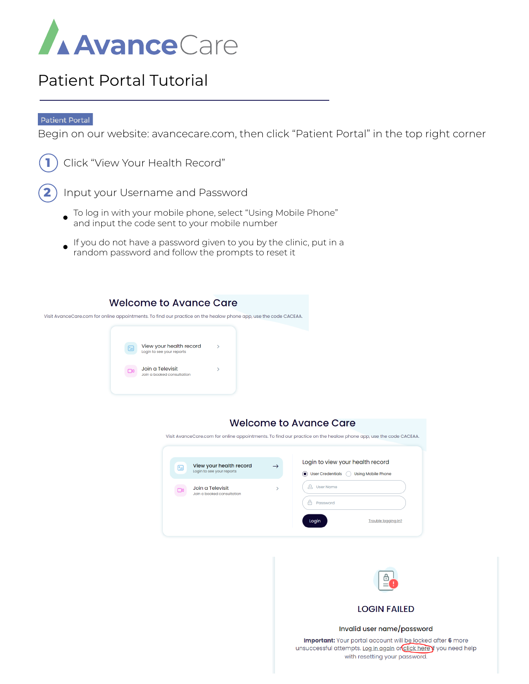

## Patient Portal Tutorial

#### **Patient Portal**

Begin on our website: avancecare.com, then click "Patient Portal" in the top right corner



**1** Click "View Your Health Record"

**2** Input your Username and Password

- To log in with your mobile phone, select "Using Mobile Phone" and input the code sent to your mobile number
- If you do not have a password given to you by the clinic, put in a random password and follow the prompts to reset it

### **Welcome to Avance Care**

Visit AvanceCare.com for online appointments. To find our practice on the healow phone app, use the code CACEAA.



### **Welcome to Avance Care**

Visit AvanceCare.com for online appointments. To find our practice on the healow phone app, use the code CACEAA.





#### Invalid user name/password

Important: Your portal account will be locked after 6 more unsuccessful attempts. Log in again or click here if you need help with resetting your password.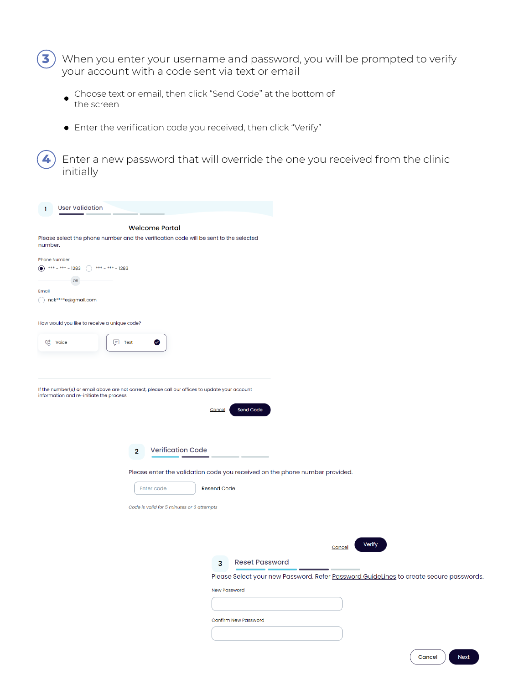$\big)$  When you enter your username and password, you will be prompted to verify your account with a code sent via text or email **3**

- Choose text or email, then click "Send Code" at the bottom of the screen
- Enter the verification code you received, then click "Verify"

Enter a new password that will override the one you received from the clinic initially **4**

| <b>User Validation</b><br>ı.                                                                   |                                                                                                 |
|------------------------------------------------------------------------------------------------|-------------------------------------------------------------------------------------------------|
|                                                                                                | <b>Welcome Portal</b>                                                                           |
| number.                                                                                        | Please select the phone number and the verification code will be sent to the selected           |
| Phone Number<br>(a) *** - *** - 1283 $*$ *** - *** - 1283<br>OR<br>Email<br>nck****e@gmail.com |                                                                                                 |
| How would you like to receive a unique code?                                                   |                                                                                                 |
| ⋓<br>Voice                                                                                     | 同 Text<br>◙                                                                                     |
|                                                                                                |                                                                                                 |
|                                                                                                |                                                                                                 |
| information and re-initiate the process.                                                       | If the number(s) or email above are not correct, please call our offices to update your account |
|                                                                                                | Send Code<br>Cancel                                                                             |
|                                                                                                | <b>Verification Code</b><br>$\overline{2}$                                                      |
|                                                                                                | Please enter the validation code you received on the phone number provided.                     |
|                                                                                                | <b>Resend Code</b><br>Enter code                                                                |
|                                                                                                | Code is valid for 5 minutes or 6 attempts                                                       |
|                                                                                                |                                                                                                 |
|                                                                                                | Verify<br>Cancel                                                                                |
|                                                                                                | <b>Reset Password</b><br>3                                                                      |
|                                                                                                | Please Select your new Password. Refer Password GuideLines to create secure passwords.          |
|                                                                                                | <b>New Password</b>                                                                             |
|                                                                                                |                                                                                                 |
|                                                                                                | <b>Confirm New Password</b>                                                                     |
|                                                                                                |                                                                                                 |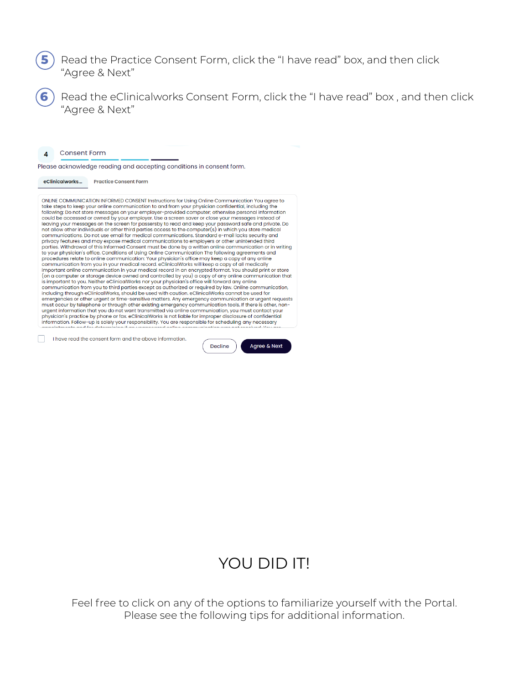#### Read the Practice Consent Form, click the "I have read" box, and then click "Agree & Next" **5**

Read the eClinicalworks Consent Form, click the "I have read" box , and then click "Agree & Next"

**Consent Form**  $\boldsymbol{\Delta}$ 

**6**

Please acknowledge reading and accepting conditions in consent form.

eClinicalworks... Practice Consent Form

ONLINE COMMUNICATION INFORMED CONSENT Instructions for Using Online Communication You agree to take steps to keep your online communication to and from your physician confidential, including the following: Do not store messages on your employer-provided computer; otherwise personal information could be accessed or owned by your employer. Use a screen saver or close your messages instead of<br>leaving your messages on the screen for passersby to read and keep your password safe and private. Do not allow other individuals or other third parties access to the computer(s) in which you store medical<br>communications. Do not use email for medical communications. Standard e-mail lacks security and privacy features and may expose medical communications to employers or other unintended third<br>parties. Withdrawal of this Informed Consent must be done by a written online communication or in writing to your physician's office. Conditions of Using Online Communication The following agreements and procedures relate to online communication: Your physician's office may keep a copy of any online communication from you in your medical record. eClinicalWorks will keep a copy of all medically<br>important online communication in your medical record in an encrypted format. You should print or store From a computer or starge device overal and controlled by you) a copy of any online communication that<br>is important to you. Neither eClinicalWorks nor your physician's office will forward any online communication that<br>comm including through eClinicalWorks, should be used with caution. eClinicalWorks cannot be used for<br>emergencies or other urgent or time-sensitive matters. Any emergency communication or urgent requests must occur by telephone or through other existing emergency communication tools. If there is other, non-<br>urgent information that you do not want transmitted via online communication, you must contact your any side in process of the original control of the control of the control of the properties of confidential<br>information. Follow-up is solely your responsibility. You are responsible for scheduling any necessary<br>control con

 $\begin{bmatrix} \quad \\ \quad \end{bmatrix}$  Thave read the consent form and the above information

Agree & Next

**Decline** 

## YOU DID IT!

Feel free to click on any of the options to familiarize yourself with the Portal. Please see the following tips for additional information.